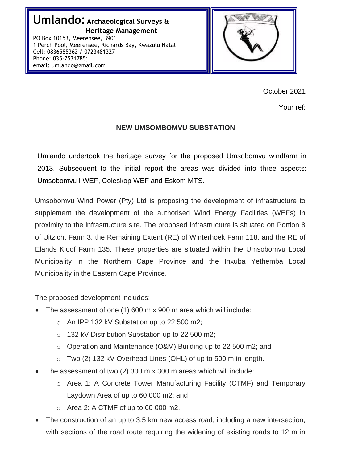

October 2021

Your ref:

### **NEW UMSOMBOMVU SUBSTATION**

Umlando undertook the heritage survey for the proposed Umsobomvu windfarm in 2013. Subsequent to the initial report the areas was divided into three aspects: Umsobomvu I WEF, Coleskop WEF and Eskom MTS.

Umsobomvu Wind Power (Pty) Ltd is proposing the development of infrastructure to supplement the development of the authorised Wind Energy Facilities (WEFs) in proximity to the infrastructure site. The proposed infrastructure is situated on Portion 8 of Uitzicht Farm 3, the Remaining Extent (RE) of Winterhoek Farm 118, and the RE of Elands Kloof Farm 135. These properties are situated within the Umsobomvu Local Municipality in the Northern Cape Province and the Inxuba Yethemba Local Municipality in the Eastern Cape Province.

The proposed development includes:

- The assessment of one (1) 600 m x 900 m area which will include:
	- o An IPP 132 kV Substation up to 22 500 m2;
	- o 132 kV Distribution Substation up to 22 500 m2;
	- o Operation and Maintenance (O&M) Building up to 22 500 m2; and
	- o Two (2) 132 kV Overhead Lines (OHL) of up to 500 m in length.
- The assessment of two (2) 300 m x 300 m areas which will include:
	- o Area 1: A Concrete Tower Manufacturing Facility (CTMF) and Temporary Laydown Area of up to 60 000 m2; and
	- $\circ$  Area 2: A CTMF of up to 60 000 m2.
- The construction of an up to 3.5 km new access road, including a new intersection, with sections of the road route requiring the widening of existing roads to 12 m in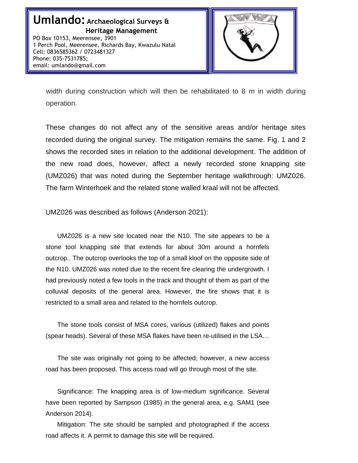

width during construction which will then be rehabilitated to 8 m in width during operation.

These changes do not affect any of the sensitive areas and/or heritage sites recorded during the original survey. The mitigation remains the same. Fig. 1 and 2 shows the recorded sites in relation to the additional development. The addition of the new road does, however, affect a newly recorded stone knapping site (UMZ026) that was noted during the September heritage walkthrough: UMZ026. The farm Winterhoek and the related stone walled kraal will not be affected.

UMZ026 was described as follows (Anderson 2021):

UMZ026 is a new site located near the N10. The site appears to be a stone tool knapping site that extends for about 30m around a hornfels outcrop.. The outcrop overlooks the top of a small kloof on the opposite side of the N10. UMZ026 was noted due to the recent fire clearing the undergrowth. I had previously noted a few tools in the track and thought of them as part of the colluvial deposits of the general area. However, the fire shows that it is restricted to a small area and related to the hornfels outcrop.

The stone tools consist of MSA cores, various (utilized) flakes and points (spear heads). Several of these MSA flakes have been re-utilised in the LSA…

The site was originally not going to be affected; however, a new access road has been proposed. This access road will go through most of the site.

Significance: The knapping area is of low-medium significance. Several have been reported by Sampson (1985) in the general area, e.g. SAM1 (see Anderson 2014).

Mitigation: The site should be sampled and photographed if the access road affects it. A permit to damage this site will be required.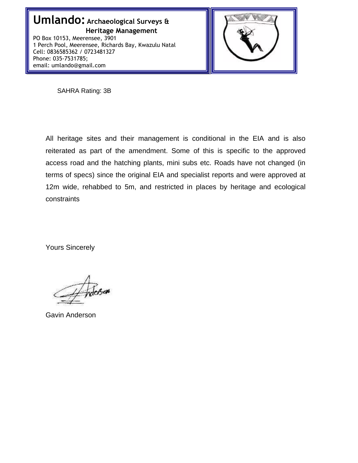

SAHRA Rating: 3B

All heritage sites and their management is conditional in the EIA and is also reiterated as part of the amendment. Some of this is specific to the approved access road and the hatching plants, mini subs etc. Roads have not changed (in terms of specs) since the original EIA and specialist reports and were approved at 12m wide, rehabbed to 5m, and restricted in places by heritage and ecological constraints

Yours Sincerely

Gavin Anderson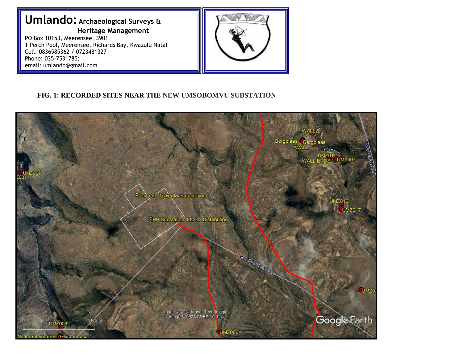# **Umlando: Archaeological Surveys & Heritage Management**

PO Box 10153, Meerensee, 3901 1 Perch Pool, Meerensee, Richards Bay, Kwazulu Natal Cell: 0836585362 / 0723481327 Phone: 035-7531785; email: umlando@gmail.com



### **FIG. 1: RECORDED SITES NEAR THE NEW UMSOBOMVU SUBSTATION**